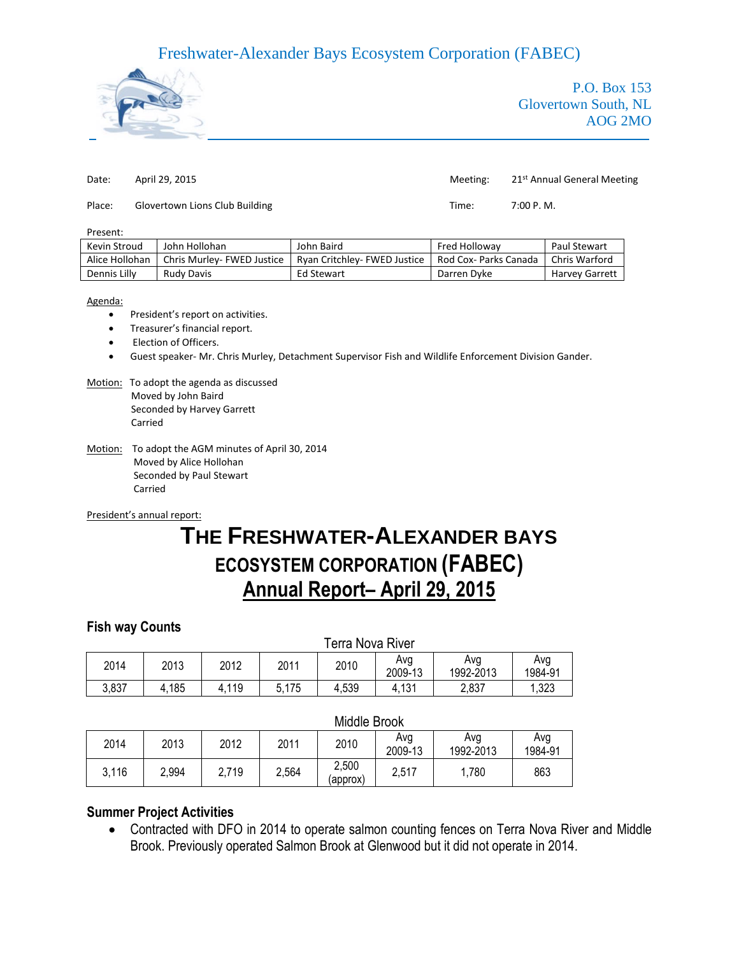# Freshwater-Alexander Bays Ecosystem Corporation (FABEC)



P.O. Box 153 Glovertown South, NL AOG 2MO

| Date:  | April 29, 2015                 | Meeting: | 21 <sup>st</sup> Annual General Meeting |
|--------|--------------------------------|----------|-----------------------------------------|
| Place: | Glovertown Lions Club Building | Time:    | 7:00 P. M.                              |

#### Present:

| Kevin Stroud   | John Hollohan              | John Baird                   | <b>Fred Hollowav</b>  | Paul Stewart          |
|----------------|----------------------------|------------------------------|-----------------------|-----------------------|
| Alice Hollohan | Chris Murley- FWED Justice | Rvan Critchlev- FWED Justice | Rod Cox- Parks Canada | Chris Warford         |
| Dennis Lilly   | <b>Rudy Davis</b>          | Ed Stewart                   | Darren Dyke           | <b>Harvey Garrett</b> |

#### Agenda:

- President's report on activities.
- Treasurer's financial report.
- Election of Officers.
- Guest speaker- Mr. Chris Murley, Detachment Supervisor Fish and Wildlife Enforcement Division Gander.

#### Motion: To adopt the agenda as discussed Moved by John Baird Seconded by Harvey Garrett Carried

Motion: To adopt the AGM minutes of April 30, 2014 Moved by Alice Hollohan Seconded by Paul Stewart Carried

#### President's annual report:

# **THE FRESHWATER-ALEXANDER BAYS ECOSYSTEM CORPORATION (FABEC) Annual Report– April 29, 2015**

## **Fish way Counts**

|       | Terra Nova River |       |       |       |                |                  |                |
|-------|------------------|-------|-------|-------|----------------|------------------|----------------|
| 2014  | 2013             | 2012  | 2011  | 2010  | Avg<br>2009-13 | Ava<br>1992-2013 | Avg<br>1984-91 |
| 3,837 | 4,185            | 4,119 | 5,175 | 4,539 | 4,131          | 2,837            | 1,323          |

### Middle Brook

|       | .     |       |       |                   |                |                  |                |
|-------|-------|-------|-------|-------------------|----------------|------------------|----------------|
| 2014  | 2013  | 2012  | 2011  | 2010              | Avg<br>2009-13 | Avg<br>1992-2013 | Avg<br>1984-91 |
| 3,116 | 2,994 | 2,719 | 2,564 | 2,500<br>(approx) | 2,517          | ,780             | 863            |

## **Summer Project Activities**

 Contracted with DFO in 2014 to operate salmon counting fences on Terra Nova River and Middle Brook. Previously operated Salmon Brook at Glenwood but it did not operate in 2014.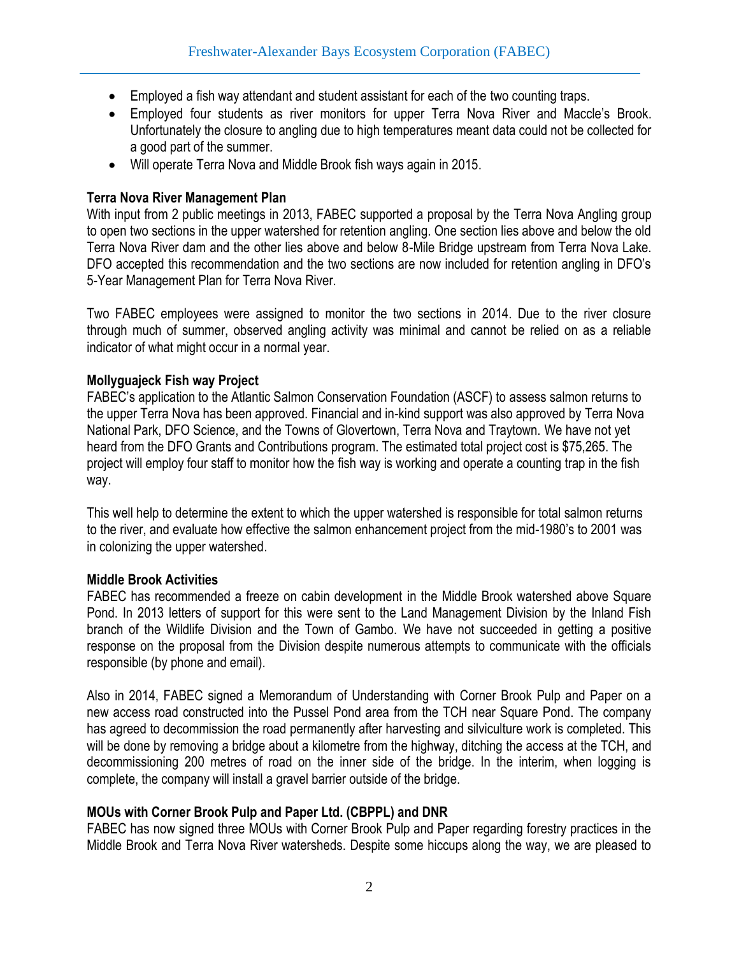- Employed a fish way attendant and student assistant for each of the two counting traps.
- Employed four students as river monitors for upper Terra Nova River and Maccle's Brook. Unfortunately the closure to angling due to high temperatures meant data could not be collected for a good part of the summer.
- Will operate Terra Nova and Middle Brook fish ways again in 2015.

## **Terra Nova River Management Plan**

With input from 2 public meetings in 2013, FABEC supported a proposal by the Terra Nova Angling group to open two sections in the upper watershed for retention angling. One section lies above and below the old Terra Nova River dam and the other lies above and below 8-Mile Bridge upstream from Terra Nova Lake. DFO accepted this recommendation and the two sections are now included for retention angling in DFO's 5-Year Management Plan for Terra Nova River.

Two FABEC employees were assigned to monitor the two sections in 2014. Due to the river closure through much of summer, observed angling activity was minimal and cannot be relied on as a reliable indicator of what might occur in a normal year.

## **Mollyguajeck Fish way Project**

FABEC's application to the Atlantic Salmon Conservation Foundation (ASCF) to assess salmon returns to the upper Terra Nova has been approved. Financial and in-kind support was also approved by Terra Nova National Park, DFO Science, and the Towns of Glovertown, Terra Nova and Traytown. We have not yet heard from the DFO Grants and Contributions program. The estimated total project cost is \$75,265. The project will employ four staff to monitor how the fish way is working and operate a counting trap in the fish way.

This well help to determine the extent to which the upper watershed is responsible for total salmon returns to the river, and evaluate how effective the salmon enhancement project from the mid-1980's to 2001 was in colonizing the upper watershed.

## **Middle Brook Activities**

FABEC has recommended a freeze on cabin development in the Middle Brook watershed above Square Pond. In 2013 letters of support for this were sent to the Land Management Division by the Inland Fish branch of the Wildlife Division and the Town of Gambo. We have not succeeded in getting a positive response on the proposal from the Division despite numerous attempts to communicate with the officials responsible (by phone and email).

Also in 2014, FABEC signed a Memorandum of Understanding with Corner Brook Pulp and Paper on a new access road constructed into the Pussel Pond area from the TCH near Square Pond. The company has agreed to decommission the road permanently after harvesting and silviculture work is completed. This will be done by removing a bridge about a kilometre from the highway, ditching the access at the TCH, and decommissioning 200 metres of road on the inner side of the bridge. In the interim, when logging is complete, the company will install a gravel barrier outside of the bridge.

## **MOUs with Corner Brook Pulp and Paper Ltd. (CBPPL) and DNR**

FABEC has now signed three MOUs with Corner Brook Pulp and Paper regarding forestry practices in the Middle Brook and Terra Nova River watersheds. Despite some hiccups along the way, we are pleased to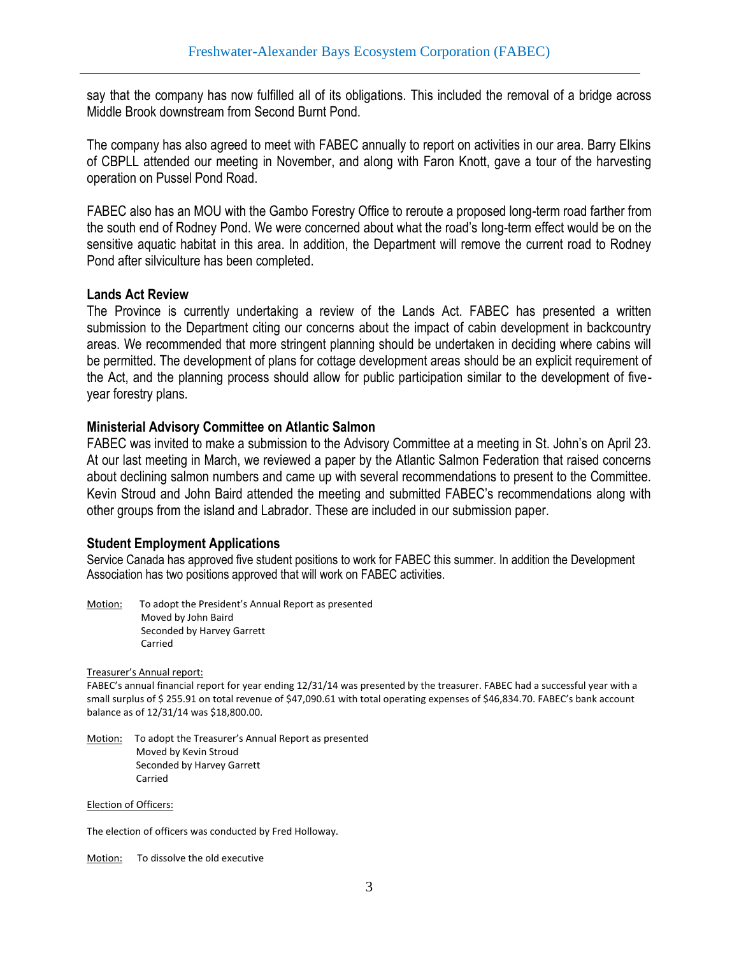say that the company has now fulfilled all of its obligations. This included the removal of a bridge across Middle Brook downstream from Second Burnt Pond.

The company has also agreed to meet with FABEC annually to report on activities in our area. Barry Elkins of CBPLL attended our meeting in November, and along with Faron Knott, gave a tour of the harvesting operation on Pussel Pond Road.

FABEC also has an MOU with the Gambo Forestry Office to reroute a proposed long-term road farther from the south end of Rodney Pond. We were concerned about what the road's long-term effect would be on the sensitive aquatic habitat in this area. In addition, the Department will remove the current road to Rodney Pond after silviculture has been completed.

## **Lands Act Review**

The Province is currently undertaking a review of the Lands Act. FABEC has presented a written submission to the Department citing our concerns about the impact of cabin development in backcountry areas. We recommended that more stringent planning should be undertaken in deciding where cabins will be permitted. The development of plans for cottage development areas should be an explicit requirement of the Act, and the planning process should allow for public participation similar to the development of fiveyear forestry plans.

## **Ministerial Advisory Committee on Atlantic Salmon**

FABEC was invited to make a submission to the Advisory Committee at a meeting in St. John's on April 23. At our last meeting in March, we reviewed a paper by the Atlantic Salmon Federation that raised concerns about declining salmon numbers and came up with several recommendations to present to the Committee. Kevin Stroud and John Baird attended the meeting and submitted FABEC's recommendations along with other groups from the island and Labrador. These are included in our submission paper.

## **Student Employment Applications**

Service Canada has approved five student positions to work for FABEC this summer. In addition the Development Association has two positions approved that will work on FABEC activities.

Motion: To adopt the President's Annual Report as presented Moved by John Baird Seconded by Harvey Garrett Carried

Treasurer's Annual report:

FABEC's annual financial report for year ending 12/31/14 was presented by the treasurer. FABEC had a successful year with a small surplus of \$255.91 on total revenue of \$47,090.61 with total operating expenses of \$46,834.70. FABEC's bank account balance as of 12/31/14 was \$18,800.00.

Motion: To adopt the Treasurer's Annual Report as presented Moved by Kevin Stroud Seconded by Harvey Garrett Carried

Election of Officers:

The election of officers was conducted by Fred Holloway.

Motion: To dissolve the old executive